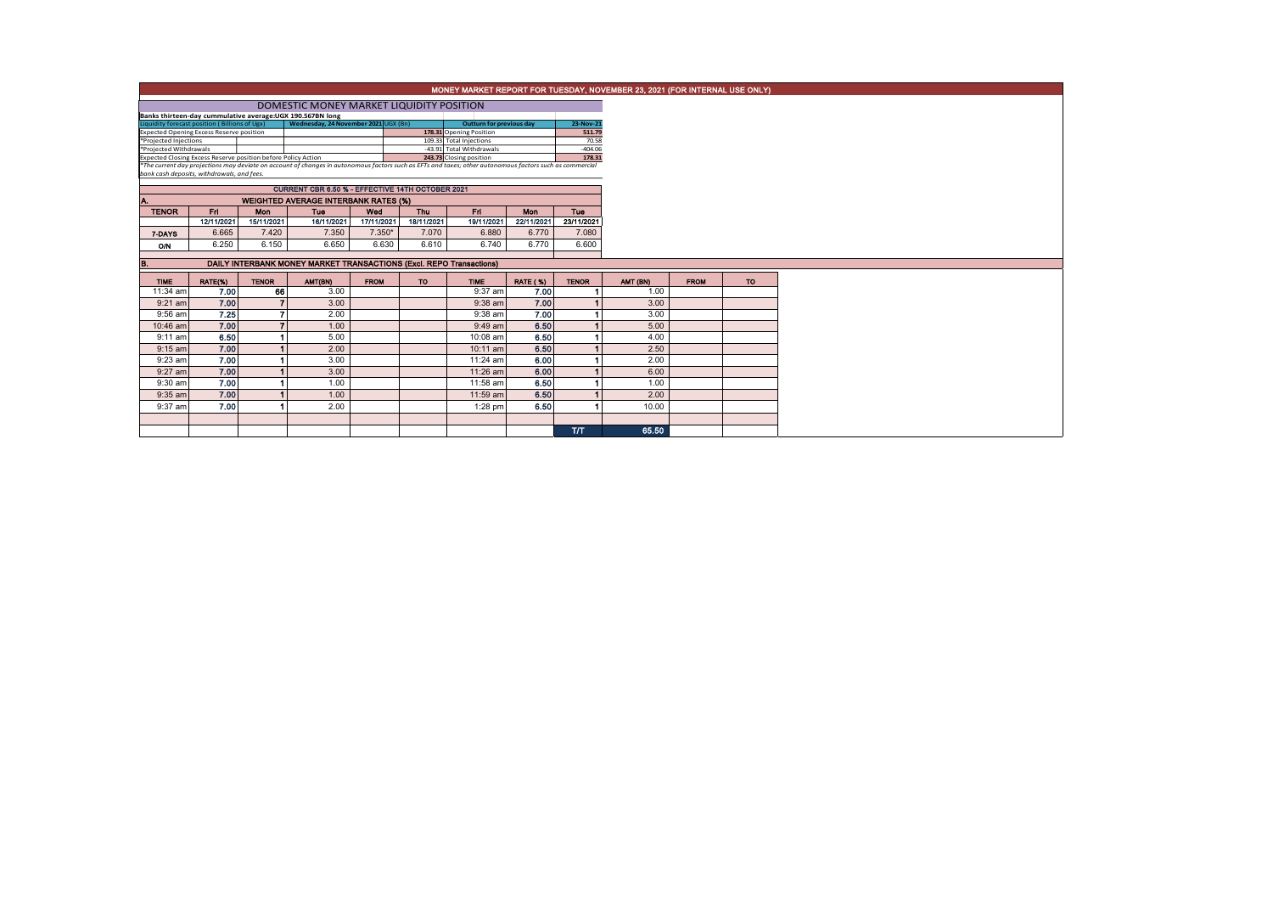|                                                 |            |              |                                                                                                                                                                                                                           |             |            |                                                     |                 |                    | MONEY MARKET REPORT FOR TUESDAY, NOVEMBER 23, 2021 (FOR INTERNAL USE ONLY) |             |           |
|-------------------------------------------------|------------|--------------|---------------------------------------------------------------------------------------------------------------------------------------------------------------------------------------------------------------------------|-------------|------------|-----------------------------------------------------|-----------------|--------------------|----------------------------------------------------------------------------|-------------|-----------|
|                                                 |            |              | DOMESTIC MONEY MARKET LIQUIDITY POSITION                                                                                                                                                                                  |             |            |                                                     |                 |                    |                                                                            |             |           |
|                                                 |            |              | Banks thirteen-day cummulative average:UGX 190.567BN long                                                                                                                                                                 |             |            |                                                     |                 |                    |                                                                            |             |           |
| Liquidity forecast position (Billions of Ugx)   |            |              | Wednesday, 24 November 2021 UGX (Bn)                                                                                                                                                                                      |             |            | <b>Outturn for previous day</b>                     |                 | 23-Nov-21          |                                                                            |             |           |
| <b>Expected Opening Excess Reserve position</b> |            |              |                                                                                                                                                                                                                           |             |            | 178.31 Opening Position                             |                 | 511.79             |                                                                            |             |           |
| *Projected Injections<br>*Projected Withdrawals |            |              |                                                                                                                                                                                                                           |             |            | 109.33 Total Injections<br>-43.91 Total Withdrawals |                 | 70.58<br>$-404.06$ |                                                                            |             |           |
|                                                 |            |              |                                                                                                                                                                                                                           |             |            |                                                     |                 | 178.31             |                                                                            |             |           |
|                                                 |            |              | Expected Closing Excess Reserve position before Policy Action<br>*The current day projections may deviate on account of changes in autonomous factors such as EFTs and taxes; other autonomous factors such as commercial |             |            |                                                     |                 |                    |                                                                            |             |           |
| bank cash deposits, withdrawals, and fees.      |            |              |                                                                                                                                                                                                                           |             |            |                                                     |                 |                    |                                                                            |             |           |
|                                                 |            |              | CURRENT CBR 6.50 % - EFFECTIVE 14TH OCTOBER 2021                                                                                                                                                                          |             |            |                                                     |                 |                    |                                                                            |             |           |
| Α.                                              |            |              | <b>WEIGHTED AVERAGE INTERBANK RATES (%)</b>                                                                                                                                                                               |             |            |                                                     |                 |                    |                                                                            |             |           |
| <b>TENOR</b>                                    | Fri        | Mon          | Tue                                                                                                                                                                                                                       | Wed         | Thu        | Fri.                                                | <b>Mon</b>      | <b>Tue</b>         |                                                                            |             |           |
|                                                 | 12/11/2021 | 15/11/2021   | 16/11/2021                                                                                                                                                                                                                | 17/11/2021  | 18/11/2021 | 19/11/2021                                          | 22/11/2021      | 23/11/2021         |                                                                            |             |           |
| 7-DAYS                                          | 6.665      | 7.420        | 7.350                                                                                                                                                                                                                     | $7.350*$    | 7.070      | 6.880                                               | 6,770           | 7.080              |                                                                            |             |           |
| ON                                              | 6.250      | 6.150        | 6.650                                                                                                                                                                                                                     | 6.630       | 6.610      | 6.740                                               | 6.770           | 6.600              |                                                                            |             |           |
|                                                 |            |              |                                                                                                                                                                                                                           |             |            |                                                     |                 |                    |                                                                            |             |           |
| B.                                              |            |              | DAILY INTERBANK MONEY MARKET TRANSACTIONS (Excl. REPO Transactions)                                                                                                                                                       |             |            |                                                     |                 |                    |                                                                            |             |           |
| <b>TIME</b>                                     | RATE(%)    | <b>TENOR</b> | AMT(BN)                                                                                                                                                                                                                   | <b>FROM</b> | <b>TO</b>  | <b>TIME</b>                                         | <b>RATE (%)</b> | <b>TENOR</b>       | AMT (BN)                                                                   | <b>FROM</b> | <b>TO</b> |
| 11:34 am                                        | 7.00       | 66           | 3.00                                                                                                                                                                                                                      |             |            | 9:37 am                                             | 7.00            |                    | 1.00                                                                       |             |           |
| $9:21$ am                                       | 7.00       |              | 3.00                                                                                                                                                                                                                      |             |            | $9:38$ am                                           | 7.00            |                    | 3.00                                                                       |             |           |
| 9:56 am                                         | 7.25       |              | 2.00                                                                                                                                                                                                                      |             |            | $9:38$ am                                           | 7.00            |                    | 3.00                                                                       |             |           |
| 10:46 am                                        | 7.00       |              | 1.00                                                                                                                                                                                                                      |             |            | $9:49$ am                                           | 6.50            |                    | 5.00                                                                       |             |           |
| $9:11$ am                                       | 6.50       |              | 5.00                                                                                                                                                                                                                      |             |            | 10:08 am                                            | 6.50            |                    | 4.00                                                                       |             |           |
| $9:15$ am                                       | 7.00       |              | 2.00                                                                                                                                                                                                                      |             |            | 10:11 am                                            | 6.50            |                    | 2.50                                                                       |             |           |
| 9:23 am                                         |            |              | 3.00                                                                                                                                                                                                                      |             |            | 11:24 am                                            | 6.00            |                    | 2.00                                                                       |             |           |
|                                                 | 7.00       |              |                                                                                                                                                                                                                           |             |            |                                                     |                 |                    |                                                                            |             |           |
| $9:27$ am                                       | 7.00       |              | 3.00                                                                                                                                                                                                                      |             |            | 11:26 am                                            | 6.00            |                    | 6.00                                                                       |             |           |
| $9:30$ am                                       | 7.00       |              | 1.00                                                                                                                                                                                                                      |             |            | 11:58 am                                            | 6.50            |                    | 1.00                                                                       |             |           |
| $9:35$ am                                       | 7.00       |              | 1.00                                                                                                                                                                                                                      |             |            | 11:59 am                                            | 6.50            |                    | 2.00                                                                       |             |           |
| 9:37 am                                         | 7.00       |              | 2.00                                                                                                                                                                                                                      |             |            | 1:28 pm                                             | 6.50            |                    | 10.00                                                                      |             |           |
|                                                 |            |              |                                                                                                                                                                                                                           |             |            |                                                     |                 |                    |                                                                            |             |           |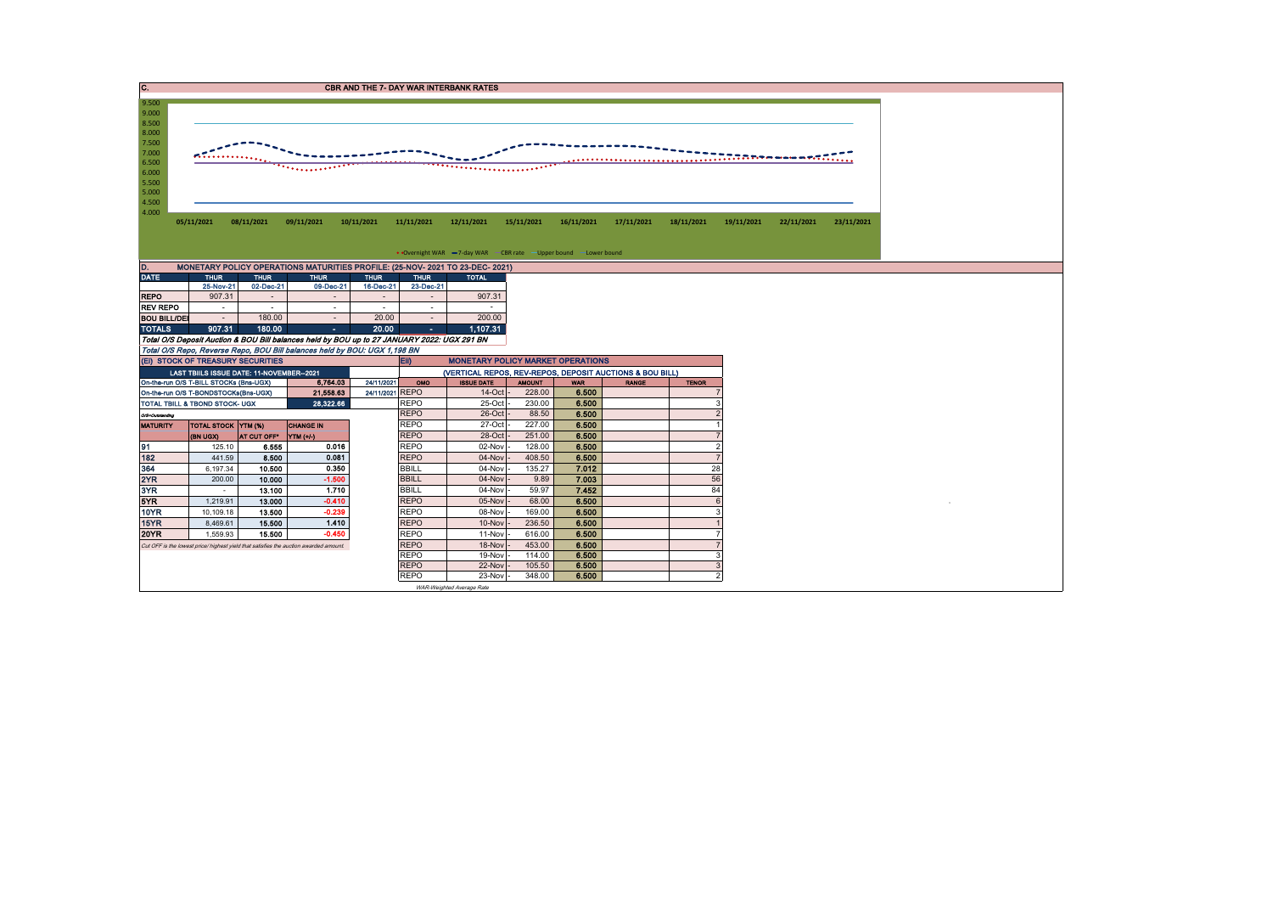| 9.500<br>9.000<br>8.500<br>8.000<br>7.500<br>7.000<br>n <sub></sub><br>6.500<br>'**********<br>6.000<br>5.500<br>5.000<br>4.500<br>4.000<br>08/11/2021<br>09/11/2021<br>10/11/2021<br>11/11/2021<br>12/11/2021<br>16/11/2021<br>17/11/2021<br>18/11/2021<br>19/11/2021<br>05/11/2021<br>15/11/2021<br>22/11/2021<br>23/11/2021<br>• Overnight WAR -7-day WAR - CBR rate - Upper bound - Lower bound<br>D.<br>MONETARY POLICY OPERATIONS MATURITIES PROFILE: (25-NOV- 2021 TO 23-DEC- 2021)<br><b>DATE</b><br><b>THUR</b><br><b>THUR</b><br><b>THUR</b><br><b>THUR</b><br><b>THUR</b><br><b>TOTAL</b><br>25-Nov-21<br>02-Dec-21<br>09-Dec-21<br>16-Dec-21<br>23-Dec-21<br>907.31<br>907.31<br><b>REPO</b><br>$\sim$<br>$\sim$<br>$\sim$<br>$\overline{\phantom{a}}$<br><b>REV REPO</b><br>in 1919.<br>$\sim$<br>$\sim$<br>$\overline{a}$<br>$\sim$<br>$\sim$<br><b>BOU BILL/DEI</b><br>180.00<br>20.00<br>200.00<br>$\sim$<br>$\sim$<br>$\sim$<br>907.31<br><b>TOTALS</b><br>180.00<br>20.00<br>1.107.31<br>$\sim$<br>$\sim$<br>Total O/S Deposit Auction & BOU Bill balances held by BOU up to 27 JANUARY 2022: UGX 291 BN<br>Total O/S Repo, Reverse Repo, BOU Bill balances held by BOU: UGX 1,198 BN<br>(EI) STOCK OF TREASURY SECURITIES<br><b>MONETARY POLICY MARKET OPERATIONS</b><br>EII)<br>(VERTICAL REPOS, REV-REPOS, DEPOSIT AUCTIONS & BOU BILL)<br>LAST TBIILS ISSUE DATE: 11-NOVEMBER--2021<br>On-the-run O/S T-BILL STOCKs (Bns-UGX)<br>6,764.03<br>24/11/2021<br>OMO<br><b>ISSUE DATE</b><br><b>AMOUNT</b><br><b>TENOR</b><br><b>WAR</b><br><b>RANGE</b><br>6.500<br>21,558.63<br>24/11/2021 REPO<br>$14$ -Oct<br>228.00<br>On-the-run O/S T-BONDSTOCKs(Bns-UGX)<br>28.322.66<br><b>REPO</b><br>25-Oct<br>230.00<br>6.500<br>TOTAL TBILL & TBOND STOCK- UGX<br><b>REPO</b><br>88.50<br>26-Oct<br>6.500<br>O/S-Outstanding<br><b>REPO</b><br>227.00<br>27-Oct<br>6.500<br><b>TOTAL STOCK YTM (%)</b><br><b>CHANGE IN</b><br><b>MATURITY</b><br><b>REPO</b><br>28-Oct<br>251.00<br>6.500<br>AT CUT OFF*   YTM (+/-)<br>(BN UGX)<br>91<br>0.016<br><b>REPO</b><br>6.500<br>$\overline{\phantom{a}}$<br>6.555<br>02-Nov<br>128.00<br>125.10<br>182<br>0.081<br><b>REPO</b><br>408.50<br>6.500<br>441.59<br>8.500<br>04-Nov<br>364<br>0.350<br><b>BBILL</b><br>28<br>135.27<br>7.012<br>6,197.34<br>10.500<br>04-Nov<br>56<br>2YR<br><b>BBILL</b><br>9.89<br>7.003<br>$-1.500$<br>04-Nov<br>200.00<br>10.000<br>3YR<br>1.710<br>7.452<br>84<br><b>BBILL</b><br>59.97<br>13.100<br>04-Nov<br>$\sim$<br>$\epsilon$ |
|-----------------------------------------------------------------------------------------------------------------------------------------------------------------------------------------------------------------------------------------------------------------------------------------------------------------------------------------------------------------------------------------------------------------------------------------------------------------------------------------------------------------------------------------------------------------------------------------------------------------------------------------------------------------------------------------------------------------------------------------------------------------------------------------------------------------------------------------------------------------------------------------------------------------------------------------------------------------------------------------------------------------------------------------------------------------------------------------------------------------------------------------------------------------------------------------------------------------------------------------------------------------------------------------------------------------------------------------------------------------------------------------------------------------------------------------------------------------------------------------------------------------------------------------------------------------------------------------------------------------------------------------------------------------------------------------------------------------------------------------------------------------------------------------------------------------------------------------------------------------------------------------------------------------------------------------------------------------------------------------------------------------------------------------------------------------------------------------------------------------------------------------------------------------------------------------------------------------------------------------------------------------------------------------------------------------------------------------------------------------------------------------------------------------------------------------------------------------------------------------------------------------------------|
|                                                                                                                                                                                                                                                                                                                                                                                                                                                                                                                                                                                                                                                                                                                                                                                                                                                                                                                                                                                                                                                                                                                                                                                                                                                                                                                                                                                                                                                                                                                                                                                                                                                                                                                                                                                                                                                                                                                                                                                                                                                                                                                                                                                                                                                                                                                                                                                                                                                                                                                             |
|                                                                                                                                                                                                                                                                                                                                                                                                                                                                                                                                                                                                                                                                                                                                                                                                                                                                                                                                                                                                                                                                                                                                                                                                                                                                                                                                                                                                                                                                                                                                                                                                                                                                                                                                                                                                                                                                                                                                                                                                                                                                                                                                                                                                                                                                                                                                                                                                                                                                                                                             |
|                                                                                                                                                                                                                                                                                                                                                                                                                                                                                                                                                                                                                                                                                                                                                                                                                                                                                                                                                                                                                                                                                                                                                                                                                                                                                                                                                                                                                                                                                                                                                                                                                                                                                                                                                                                                                                                                                                                                                                                                                                                                                                                                                                                                                                                                                                                                                                                                                                                                                                                             |
|                                                                                                                                                                                                                                                                                                                                                                                                                                                                                                                                                                                                                                                                                                                                                                                                                                                                                                                                                                                                                                                                                                                                                                                                                                                                                                                                                                                                                                                                                                                                                                                                                                                                                                                                                                                                                                                                                                                                                                                                                                                                                                                                                                                                                                                                                                                                                                                                                                                                                                                             |
|                                                                                                                                                                                                                                                                                                                                                                                                                                                                                                                                                                                                                                                                                                                                                                                                                                                                                                                                                                                                                                                                                                                                                                                                                                                                                                                                                                                                                                                                                                                                                                                                                                                                                                                                                                                                                                                                                                                                                                                                                                                                                                                                                                                                                                                                                                                                                                                                                                                                                                                             |
|                                                                                                                                                                                                                                                                                                                                                                                                                                                                                                                                                                                                                                                                                                                                                                                                                                                                                                                                                                                                                                                                                                                                                                                                                                                                                                                                                                                                                                                                                                                                                                                                                                                                                                                                                                                                                                                                                                                                                                                                                                                                                                                                                                                                                                                                                                                                                                                                                                                                                                                             |
|                                                                                                                                                                                                                                                                                                                                                                                                                                                                                                                                                                                                                                                                                                                                                                                                                                                                                                                                                                                                                                                                                                                                                                                                                                                                                                                                                                                                                                                                                                                                                                                                                                                                                                                                                                                                                                                                                                                                                                                                                                                                                                                                                                                                                                                                                                                                                                                                                                                                                                                             |
|                                                                                                                                                                                                                                                                                                                                                                                                                                                                                                                                                                                                                                                                                                                                                                                                                                                                                                                                                                                                                                                                                                                                                                                                                                                                                                                                                                                                                                                                                                                                                                                                                                                                                                                                                                                                                                                                                                                                                                                                                                                                                                                                                                                                                                                                                                                                                                                                                                                                                                                             |
|                                                                                                                                                                                                                                                                                                                                                                                                                                                                                                                                                                                                                                                                                                                                                                                                                                                                                                                                                                                                                                                                                                                                                                                                                                                                                                                                                                                                                                                                                                                                                                                                                                                                                                                                                                                                                                                                                                                                                                                                                                                                                                                                                                                                                                                                                                                                                                                                                                                                                                                             |
|                                                                                                                                                                                                                                                                                                                                                                                                                                                                                                                                                                                                                                                                                                                                                                                                                                                                                                                                                                                                                                                                                                                                                                                                                                                                                                                                                                                                                                                                                                                                                                                                                                                                                                                                                                                                                                                                                                                                                                                                                                                                                                                                                                                                                                                                                                                                                                                                                                                                                                                             |
|                                                                                                                                                                                                                                                                                                                                                                                                                                                                                                                                                                                                                                                                                                                                                                                                                                                                                                                                                                                                                                                                                                                                                                                                                                                                                                                                                                                                                                                                                                                                                                                                                                                                                                                                                                                                                                                                                                                                                                                                                                                                                                                                                                                                                                                                                                                                                                                                                                                                                                                             |
|                                                                                                                                                                                                                                                                                                                                                                                                                                                                                                                                                                                                                                                                                                                                                                                                                                                                                                                                                                                                                                                                                                                                                                                                                                                                                                                                                                                                                                                                                                                                                                                                                                                                                                                                                                                                                                                                                                                                                                                                                                                                                                                                                                                                                                                                                                                                                                                                                                                                                                                             |
|                                                                                                                                                                                                                                                                                                                                                                                                                                                                                                                                                                                                                                                                                                                                                                                                                                                                                                                                                                                                                                                                                                                                                                                                                                                                                                                                                                                                                                                                                                                                                                                                                                                                                                                                                                                                                                                                                                                                                                                                                                                                                                                                                                                                                                                                                                                                                                                                                                                                                                                             |
|                                                                                                                                                                                                                                                                                                                                                                                                                                                                                                                                                                                                                                                                                                                                                                                                                                                                                                                                                                                                                                                                                                                                                                                                                                                                                                                                                                                                                                                                                                                                                                                                                                                                                                                                                                                                                                                                                                                                                                                                                                                                                                                                                                                                                                                                                                                                                                                                                                                                                                                             |
|                                                                                                                                                                                                                                                                                                                                                                                                                                                                                                                                                                                                                                                                                                                                                                                                                                                                                                                                                                                                                                                                                                                                                                                                                                                                                                                                                                                                                                                                                                                                                                                                                                                                                                                                                                                                                                                                                                                                                                                                                                                                                                                                                                                                                                                                                                                                                                                                                                                                                                                             |
|                                                                                                                                                                                                                                                                                                                                                                                                                                                                                                                                                                                                                                                                                                                                                                                                                                                                                                                                                                                                                                                                                                                                                                                                                                                                                                                                                                                                                                                                                                                                                                                                                                                                                                                                                                                                                                                                                                                                                                                                                                                                                                                                                                                                                                                                                                                                                                                                                                                                                                                             |
|                                                                                                                                                                                                                                                                                                                                                                                                                                                                                                                                                                                                                                                                                                                                                                                                                                                                                                                                                                                                                                                                                                                                                                                                                                                                                                                                                                                                                                                                                                                                                                                                                                                                                                                                                                                                                                                                                                                                                                                                                                                                                                                                                                                                                                                                                                                                                                                                                                                                                                                             |
|                                                                                                                                                                                                                                                                                                                                                                                                                                                                                                                                                                                                                                                                                                                                                                                                                                                                                                                                                                                                                                                                                                                                                                                                                                                                                                                                                                                                                                                                                                                                                                                                                                                                                                                                                                                                                                                                                                                                                                                                                                                                                                                                                                                                                                                                                                                                                                                                                                                                                                                             |
|                                                                                                                                                                                                                                                                                                                                                                                                                                                                                                                                                                                                                                                                                                                                                                                                                                                                                                                                                                                                                                                                                                                                                                                                                                                                                                                                                                                                                                                                                                                                                                                                                                                                                                                                                                                                                                                                                                                                                                                                                                                                                                                                                                                                                                                                                                                                                                                                                                                                                                                             |
|                                                                                                                                                                                                                                                                                                                                                                                                                                                                                                                                                                                                                                                                                                                                                                                                                                                                                                                                                                                                                                                                                                                                                                                                                                                                                                                                                                                                                                                                                                                                                                                                                                                                                                                                                                                                                                                                                                                                                                                                                                                                                                                                                                                                                                                                                                                                                                                                                                                                                                                             |
|                                                                                                                                                                                                                                                                                                                                                                                                                                                                                                                                                                                                                                                                                                                                                                                                                                                                                                                                                                                                                                                                                                                                                                                                                                                                                                                                                                                                                                                                                                                                                                                                                                                                                                                                                                                                                                                                                                                                                                                                                                                                                                                                                                                                                                                                                                                                                                                                                                                                                                                             |
|                                                                                                                                                                                                                                                                                                                                                                                                                                                                                                                                                                                                                                                                                                                                                                                                                                                                                                                                                                                                                                                                                                                                                                                                                                                                                                                                                                                                                                                                                                                                                                                                                                                                                                                                                                                                                                                                                                                                                                                                                                                                                                                                                                                                                                                                                                                                                                                                                                                                                                                             |
|                                                                                                                                                                                                                                                                                                                                                                                                                                                                                                                                                                                                                                                                                                                                                                                                                                                                                                                                                                                                                                                                                                                                                                                                                                                                                                                                                                                                                                                                                                                                                                                                                                                                                                                                                                                                                                                                                                                                                                                                                                                                                                                                                                                                                                                                                                                                                                                                                                                                                                                             |
|                                                                                                                                                                                                                                                                                                                                                                                                                                                                                                                                                                                                                                                                                                                                                                                                                                                                                                                                                                                                                                                                                                                                                                                                                                                                                                                                                                                                                                                                                                                                                                                                                                                                                                                                                                                                                                                                                                                                                                                                                                                                                                                                                                                                                                                                                                                                                                                                                                                                                                                             |
| 5YR<br>$-0.410$<br><b>REPO</b><br>6.500<br>13.000<br>05-Nov<br>68.00<br>1.219.91                                                                                                                                                                                                                                                                                                                                                                                                                                                                                                                                                                                                                                                                                                                                                                                                                                                                                                                                                                                                                                                                                                                                                                                                                                                                                                                                                                                                                                                                                                                                                                                                                                                                                                                                                                                                                                                                                                                                                                                                                                                                                                                                                                                                                                                                                                                                                                                                                                            |
| <b>REPO</b><br><b>10YR</b><br>$-0.239$<br>169.00<br>6.500<br>10.109.18<br>13.500<br>08-Nov<br>3                                                                                                                                                                                                                                                                                                                                                                                                                                                                                                                                                                                                                                                                                                                                                                                                                                                                                                                                                                                                                                                                                                                                                                                                                                                                                                                                                                                                                                                                                                                                                                                                                                                                                                                                                                                                                                                                                                                                                                                                                                                                                                                                                                                                                                                                                                                                                                                                                             |
| <b>REPO</b><br>15YR<br>1.410<br>236.50<br>6.500<br>8,469.61<br>15,500<br>10-Nov                                                                                                                                                                                                                                                                                                                                                                                                                                                                                                                                                                                                                                                                                                                                                                                                                                                                                                                                                                                                                                                                                                                                                                                                                                                                                                                                                                                                                                                                                                                                                                                                                                                                                                                                                                                                                                                                                                                                                                                                                                                                                                                                                                                                                                                                                                                                                                                                                                             |
| <b>REPO</b><br><b>20YR</b><br>616.00<br>1,559.93<br>15.500<br>$-0.450$<br>11-Nov<br>6.500                                                                                                                                                                                                                                                                                                                                                                                                                                                                                                                                                                                                                                                                                                                                                                                                                                                                                                                                                                                                                                                                                                                                                                                                                                                                                                                                                                                                                                                                                                                                                                                                                                                                                                                                                                                                                                                                                                                                                                                                                                                                                                                                                                                                                                                                                                                                                                                                                                   |
| <b>REPO</b><br>453.00<br>18-Nov<br>6.500<br>Cut OFF is the lowest price/ highest yield that satisfies the auction awarded amount.                                                                                                                                                                                                                                                                                                                                                                                                                                                                                                                                                                                                                                                                                                                                                                                                                                                                                                                                                                                                                                                                                                                                                                                                                                                                                                                                                                                                                                                                                                                                                                                                                                                                                                                                                                                                                                                                                                                                                                                                                                                                                                                                                                                                                                                                                                                                                                                           |
| <b>REPO</b><br>19-Nov<br>114.00<br>6.500<br>3<br><b>REPO</b><br>22-Nov<br>105.50<br>6.500<br>-3                                                                                                                                                                                                                                                                                                                                                                                                                                                                                                                                                                                                                                                                                                                                                                                                                                                                                                                                                                                                                                                                                                                                                                                                                                                                                                                                                                                                                                                                                                                                                                                                                                                                                                                                                                                                                                                                                                                                                                                                                                                                                                                                                                                                                                                                                                                                                                                                                             |
|                                                                                                                                                                                                                                                                                                                                                                                                                                                                                                                                                                                                                                                                                                                                                                                                                                                                                                                                                                                                                                                                                                                                                                                                                                                                                                                                                                                                                                                                                                                                                                                                                                                                                                                                                                                                                                                                                                                                                                                                                                                                                                                                                                                                                                                                                                                                                                                                                                                                                                                             |
| <b>REPO</b><br>23-Nov<br>348.00<br>6.500<br>$\mathcal{P}$                                                                                                                                                                                                                                                                                                                                                                                                                                                                                                                                                                                                                                                                                                                                                                                                                                                                                                                                                                                                                                                                                                                                                                                                                                                                                                                                                                                                                                                                                                                                                                                                                                                                                                                                                                                                                                                                                                                                                                                                                                                                                                                                                                                                                                                                                                                                                                                                                                                                   |